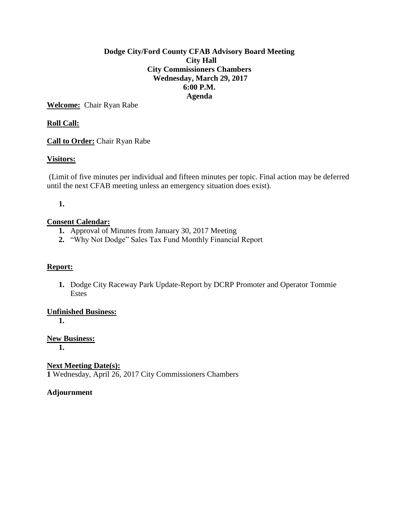## **Dodge City/Ford County CFAB Advisory Board Meeting City Hall City Commissioners Chambers Wednesday, March 29, 2017 6:00 P.M. Agenda**

**Welcome:** Chair Ryan Rabe

# **Roll Call:**

**Call to Order:** Chair Ryan Rabe

## **Visitors:**

(Limit of five minutes per individual and fifteen minutes per topic. Final action may be deferred until the next CFAB meeting unless an emergency situation does exist).

## **1.**

### **Consent Calendar:**

- **1.** Approval of Minutes from January 30, 2017 Meeting
- **2.** "Why Not Dodge" Sales Tax Fund Monthly Financial Report

### **Report:**

**1.** Dodge City Raceway Park Update-Report by DCRP Promoter and Operator Tommie Estes

### **Unfinished Business:**

**1.**

**New Business: 1.**

**Next Meeting Date(s): 1** Wednesday, April 26, 2017 City Commissioners Chambers

### **Adjournment**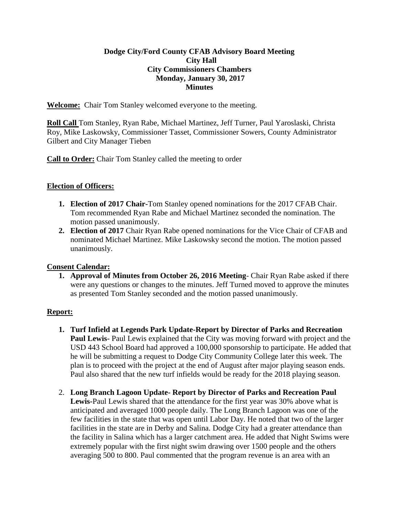## **Dodge City/Ford County CFAB Advisory Board Meeting City Hall City Commissioners Chambers Monday, January 30, 2017 Minutes**

**Welcome:** Chair Tom Stanley welcomed everyone to the meeting.

**Roll Call** Tom Stanley, Ryan Rabe, Michael Martinez, Jeff Turner, Paul Yaroslaski, Christa Roy, Mike Laskowsky, Commissioner Tasset, Commissioner Sowers, County Administrator Gilbert and City Manager Tieben

**Call to Order:** Chair Tom Stanley called the meeting to order

## **Election of Officers:**

- **1. Election of 2017 Chair-**Tom Stanley opened nominations for the 2017 CFAB Chair. Tom recommended Ryan Rabe and Michael Martinez seconded the nomination. The motion passed unanimously.
- **2. Election of 2017** Chair Ryan Rabe opened nominations for the Vice Chair of CFAB and nominated Michael Martinez. Mike Laskowsky second the motion. The motion passed unanimously.

# **Consent Calendar:**

**1. Approval of Minutes from October 26, 2016 Meeting**- Chair Ryan Rabe asked if there were any questions or changes to the minutes. Jeff Turned moved to approve the minutes as presented Tom Stanley seconded and the motion passed unanimously.

# **Report:**

- **1. Turf Infield at Legends Park Update-Report by Director of Parks and Recreation Paul Lewis**- Paul Lewis explained that the City was moving forward with project and the USD 443 School Board had approved a 100,000 sponsorship to participate. He added that he will be submitting a request to Dodge City Community College later this week. The plan is to proceed with the project at the end of August after major playing season ends. Paul also shared that the new turf infields would be ready for the 2018 playing season.
- 2. **Long Branch Lagoon Update- Report by Director of Parks and Recreation Paul Lewis-**Paul Lewis shared that the attendance for the first year was 30% above what is anticipated and averaged 1000 people daily. The Long Branch Lagoon was one of the few facilities in the state that was open until Labor Day. He noted that two of the larger facilities in the state are in Derby and Salina. Dodge City had a greater attendance than the facility in Salina which has a larger catchment area. He added that Night Swims were extremely popular with the first night swim drawing over 1500 people and the others averaging 500 to 800. Paul commented that the program revenue is an area with an